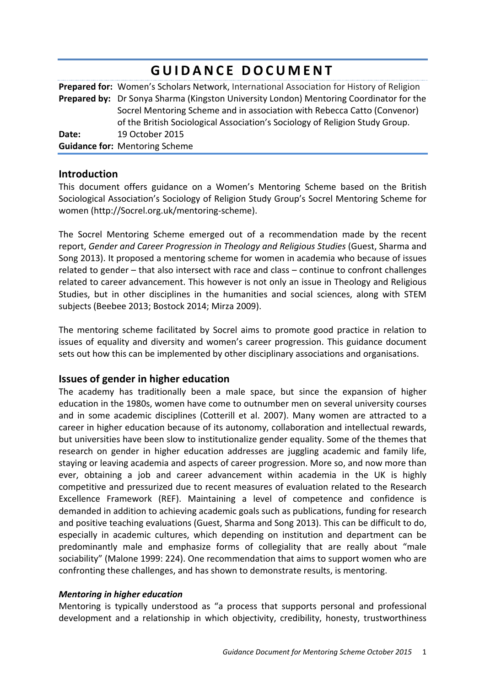# **GUIDANCE DOCUMENT**

**Prepared for:** Women's Scholars Network, International Association for History of Religion **Prepared by:** Dr Sonya Sharma (Kingston University London) Mentoring Coordinator for the Socrel Mentoring Scheme and in association with Rebecca Catto (Convenor) of the British Sociological Association's Sociology of Religion Study Group. **Date:** 19 October 2015 **Guidance for: Mentoring Scheme** 

## **Introduction**

This document offers guidance on a Women's Mentoring Scheme based on the British Sociological Association's Sociology of Religion Study Group's Socrel Mentoring Scheme for women (http://Socrel.org.uk/mentoring-scheme).

The Socrel Mentoring Scheme emerged out of a recommendation made by the recent report, *Gender and Career Progression in Theology and Religious Studies* (Guest, Sharma and Song 2013). It proposed a mentoring scheme for women in academia who because of issues related to gender  $-$  that also intersect with race and class  $-$  continue to confront challenges related to career advancement. This however is not only an issue in Theology and Religious Studies, but in other disciplines in the humanities and social sciences, along with STEM subjects (Beebee 2013; Bostock 2014; Mirza 2009).

The mentoring scheme facilitated by Socrel aims to promote good practice in relation to issues of equality and diversity and women's career progression. This guidance document sets out how this can be implemented by other disciplinary associations and organisations.

## **Issues of gender in higher education**

The academy has traditionally been a male space, but since the expansion of higher education in the 1980s, women have come to outnumber men on several university courses and in some academic disciplines (Cotterill et al. 2007). Many women are attracted to a career in higher education because of its autonomy, collaboration and intellectual rewards, but universities have been slow to institutionalize gender equality. Some of the themes that research on gender in higher education addresses are juggling academic and family life, staying or leaving academia and aspects of career progression. More so, and now more than ever, obtaining a job and career advancement within academia in the UK is highly competitive and pressurized due to recent measures of evaluation related to the Research Excellence Framework (REF). Maintaining a level of competence and confidence is demanded in addition to achieving academic goals such as publications, funding for research and positive teaching evaluations (Guest, Sharma and Song 2013). This can be difficult to do, especially in academic cultures, which depending on institution and department can be predominantly male and emphasize forms of collegiality that are really about "male sociability" (Malone 1999: 224). One recommendation that aims to support women who are confronting these challenges, and has shown to demonstrate results, is mentoring.

#### *Mentoring in higher education*

Mentoring is typically understood as "a process that supports personal and professional development and a relationship in which objectivity, credibility, honesty, trustworthiness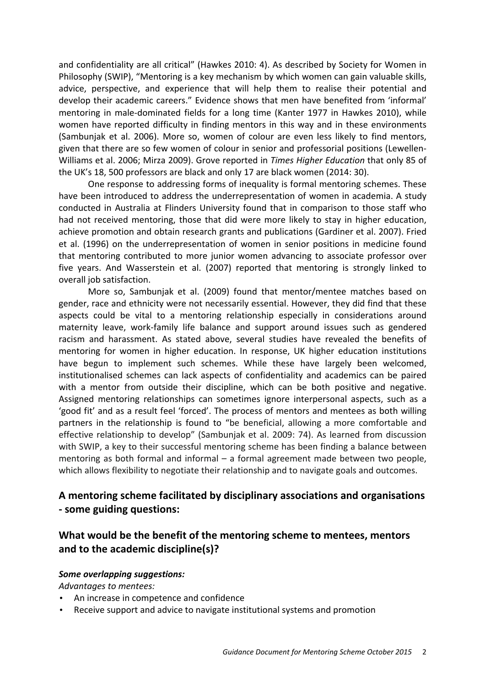and confidentiality are all critical" (Hawkes 2010: 4). As described by Society for Women in Philosophy (SWIP), "Mentoring is a key mechanism by which women can gain valuable skills, advice, perspective, and experience that will help them to realise their potential and develop their academic careers." Evidence shows that men have benefited from 'informal' mentoring in male-dominated fields for a long time (Kanter 1977 in Hawkes 2010), while women have reported difficulty in finding mentors in this way and in these environments (Sambunjak et al. 2006). More so, women of colour are even less likely to find mentors, given that there are so few women of colour in senior and professorial positions (Lewellen-Williams et al. 2006; Mirza 2009). Grove reported in *Times Higher Education* that only 85 of the UK's 18, 500 professors are black and only 17 are black women (2014: 30).

One response to addressing forms of inequality is formal mentoring schemes. These have been introduced to address the underrepresentation of women in academia. A study conducted in Australia at Flinders University found that in comparison to those staff who had not received mentoring, those that did were more likely to stay in higher education, achieve promotion and obtain research grants and publications (Gardiner et al. 2007). Fried et al. (1996) on the underrepresentation of women in senior positions in medicine found that mentoring contributed to more junior women advancing to associate professor over five years. And Wasserstein et al. (2007) reported that mentoring is strongly linked to overall job satisfaction.

More so, Sambunjak et al. (2009) found that mentor/mentee matches based on gender, race and ethnicity were not necessarily essential. However, they did find that these aspects could be vital to a mentoring relationship especially in considerations around maternity leave, work-family life balance and support around issues such as gendered racism and harassment. As stated above, several studies have revealed the benefits of mentoring for women in higher education. In response, UK higher education institutions have begun to implement such schemes. While these have largely been welcomed, institutionalised schemes can lack aspects of confidentiality and academics can be paired with a mentor from outside their discipline, which can be both positive and negative. Assigned mentoring relationships can sometimes ignore interpersonal aspects, such as a 'good fit' and as a result feel 'forced'. The process of mentors and mentees as both willing partners in the relationship is found to "be beneficial, allowing a more comfortable and effective relationship to develop" (Sambunjak et al. 2009: 74). As learned from discussion with SWIP, a key to their successful mentoring scheme has been finding a balance between mentoring as both formal and informal  $-$  a formal agreement made between two people, which allows flexibility to negotiate their relationship and to navigate goals and outcomes.

## **A mentoring scheme facilitated by disciplinary associations and organisations - some guiding questions:**

# What would be the benefit of the mentoring scheme to mentees, mentors and to the academic discipline(s)?

#### *Some overlapping suggestions:*

Advantages to mentees:

- An increase in competence and confidence
- Receive support and advice to navigate institutional systems and promotion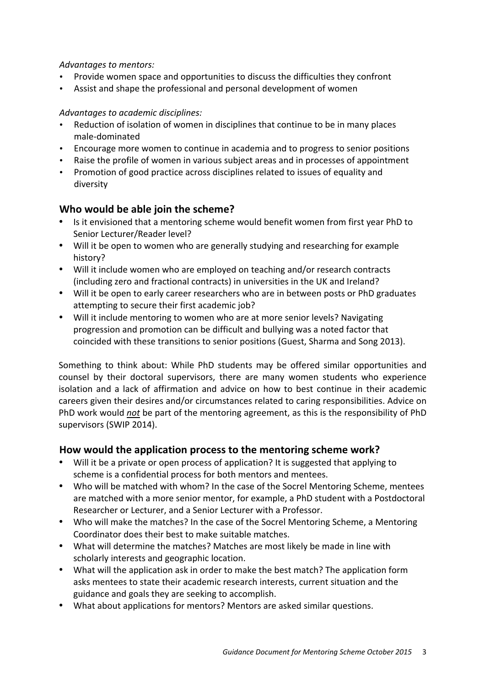## Advantages to mentors:

- Provide women space and opportunities to discuss the difficulties they confront
- Assist and shape the professional and personal development of women

### Advantages to academic disciplines:

- Reduction of isolation of women in disciplines that continue to be in many places male-dominated
- Encourage more women to continue in academia and to progress to senior positions
- Raise the profile of women in various subject areas and in processes of appointment
- Promotion of good practice across disciplines related to issues of equality and diversity

## **Who would be able join the scheme?**

- Is it envisioned that a mentoring scheme would benefit women from first year PhD to Senior Lecturer/Reader level?
- Will it be open to women who are generally studying and researching for example history?
- Will it include women who are employed on teaching and/or research contracts (including zero and fractional contracts) in universities in the UK and Ireland?
- Will it be open to early career researchers who are in between posts or PhD graduates attempting to secure their first academic job?
- Will it include mentoring to women who are at more senior levels? Navigating progression and promotion can be difficult and bullying was a noted factor that coincided with these transitions to senior positions (Guest, Sharma and Song 2013).

Something to think about: While PhD students may be offered similar opportunities and counsel by their doctoral supervisors, there are many women students who experience isolation and a lack of affirmation and advice on how to best continue in their academic careers given their desires and/or circumstances related to caring responsibilities. Advice on PhD work would *not* be part of the mentoring agreement, as this is the responsibility of PhD supervisors (SWIP 2014).

## How would the application process to the mentoring scheme work?

- Will it be a private or open process of application? It is suggested that applying to scheme is a confidential process for both mentors and mentees.
- Who will be matched with whom? In the case of the Socrel Mentoring Scheme, mentees are matched with a more senior mentor, for example, a PhD student with a Postdoctoral Researcher or Lecturer, and a Senior Lecturer with a Professor.
- Who will make the matches? In the case of the Socrel Mentoring Scheme, a Mentoring Coordinator does their best to make suitable matches.
- What will determine the matches? Matches are most likely be made in line with scholarly interests and geographic location.
- What will the application ask in order to make the best match? The application form asks mentees to state their academic research interests, current situation and the guidance and goals they are seeking to accomplish.
- What about applications for mentors? Mentors are asked similar questions.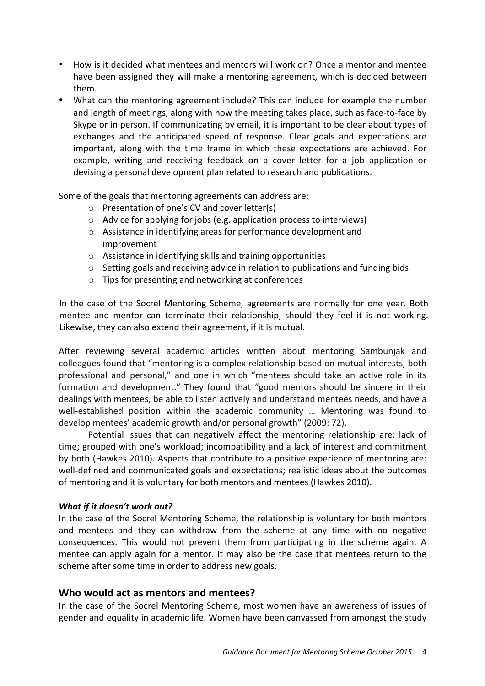- How is it decided what mentees and mentors will work on? Once a mentor and mentee have been assigned they will make a mentoring agreement, which is decided between them.
- What can the mentoring agreement include? This can include for example the number and length of meetings, along with how the meeting takes place, such as face-to-face by Skype or in person. If communicating by email, it is important to be clear about types of exchanges and the anticipated speed of response. Clear goals and expectations are important, along with the time frame in which these expectations are achieved. For example, writing and receiving feedback on a cover letter for a job application or devising a personal development plan related to research and publications.

Some of the goals that mentoring agreements can address are:

- $\circ$  Presentation of one's CV and cover letter(s)
- $\circ$  Advice for applying for jobs (e.g. application process to interviews)
- $\circ$  Assistance in identifying areas for performance development and improvement
- $\circ$  Assistance in identifying skills and training opportunities
- $\circ$  Setting goals and receiving advice in relation to publications and funding bids
- $\circ$  Tips for presenting and networking at conferences

In the case of the Socrel Mentoring Scheme, agreements are normally for one year. Both mentee and mentor can terminate their relationship, should they feel it is not working. Likewise, they can also extend their agreement, if it is mutual.

After reviewing several academic articles written about mentoring Sambunjak and colleagues found that "mentoring is a complex relationship based on mutual interests, both professional and personal," and one in which "mentees should take an active role in its formation and development." They found that "good mentors should be sincere in their dealings with mentees, be able to listen actively and understand mentees needs, and have a well-established position within the academic community ... Mentoring was found to develop mentees' academic growth and/or personal growth" (2009: 72).

Potential issues that can negatively affect the mentoring relationship are: lack of time; grouped with one's workload; incompatibility and a lack of interest and commitment by both (Hawkes 2010). Aspects that contribute to a positive experience of mentoring are: well-defined and communicated goals and expectations; realistic ideas about the outcomes of mentoring and it is voluntary for both mentors and mentees (Hawkes 2010).

#### **What if it doesn't work out?**

In the case of the Socrel Mentoring Scheme, the relationship is voluntary for both mentors and mentees and they can withdraw from the scheme at any time with no negative consequences. This would not prevent them from participating in the scheme again. A mentee can apply again for a mentor. It may also be the case that mentees return to the scheme after some time in order to address new goals.

## **Who would act as mentors and mentees?**

In the case of the Socrel Mentoring Scheme, most women have an awareness of issues of gender and equality in academic life. Women have been canvassed from amongst the study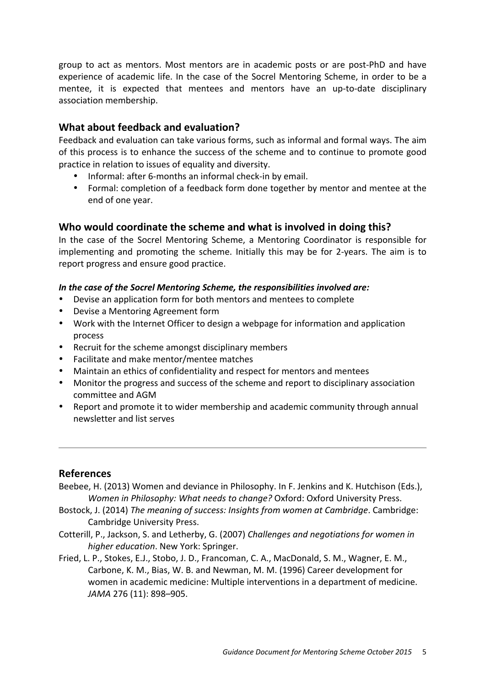group to act as mentors. Most mentors are in academic posts or are post-PhD and have experience of academic life. In the case of the Socrel Mentoring Scheme, in order to be a mentee, it is expected that mentees and mentors have an up-to-date disciplinary association membership.

## **What about feedback and evaluation?**

Feedback and evaluation can take various forms, such as informal and formal ways. The aim of this process is to enhance the success of the scheme and to continue to promote good practice in relation to issues of equality and diversity.

- Informal: after 6-months an informal check-in by email.
- Formal: completion of a feedback form done together by mentor and mentee at the end of one year.

## Who would coordinate the scheme and what is involved in doing this?

In the case of the Socrel Mentoring Scheme, a Mentoring Coordinator is responsible for implementing and promoting the scheme. Initially this may be for 2-years. The aim is to report progress and ensure good practice.

### In the case of the Socrel Mentoring Scheme, the responsibilities involved are:

- Devise an application form for both mentors and mentees to complete
- Devise a Mentoring Agreement form
- Work with the Internet Officer to design a webpage for information and application process
- Recruit for the scheme amongst disciplinary members
- Facilitate and make mentor/mentee matches
- Maintain an ethics of confidentiality and respect for mentors and mentees
- Monitor the progress and success of the scheme and report to disciplinary association committee and AGM
- Report and promote it to wider membership and academic community through annual newsletter and list serves

## **References**

- Beebee, H. (2013) Women and deviance in Philosophy. In F. Jenkins and K. Hutchison (Eds.), *Women in Philosophy: What needs to change?* Oxford: Oxford University Press.
- Bostock, J. (2014) *The meaning of success: Insights from women at Cambridge*. Cambridge: Cambridge University Press.
- Cotterill, P., Jackson, S. and Letherby, G. (2007) *Challenges and negotiations for women in higher education*. New York: Springer.
- Fried, L. P., Stokes, E.J., Stobo, J. D., Francoman, C. A., MacDonald, S. M., Wagner, E. M., Carbone, K. M., Bias, W. B. and Newman, M. M. (1996) Career development for women in academic medicine: Multiple interventions in a department of medicine. *JAMA* 276 (11): 898–905.